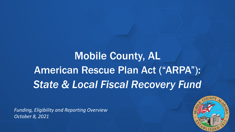# Mobile County, AL American Rescue Plan Act ("ARPA"): *State & Local Fiscal Recovery Fund*

*Funding, Eligibility and Reporting Overview October 8, 2021* 

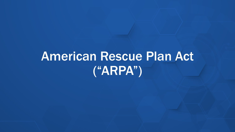# American Rescue Plan Act ("ARPA")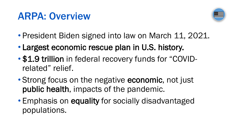### ARPA: Overview



- President Biden signed into law on March 11, 2021.
- Largest economic rescue plan in U.S. history.
- \$1.9 trillion in federal recovery funds for "COVIDrelated" relief.
- Strong focus on the negative economic, not just public health, impacts of the pandemic.
- Emphasis on equality for socially disadvantaged populations.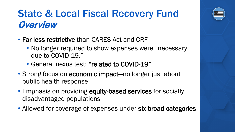### State & Local Fiscal Recovery Fund **Overview**

- Far less restrictive than CARES Act and CRF
	- No longer required to show expenses were "necessary due to COVID-19."
	- General nexus test: "related to COVID-19"
- Strong focus on economic impact—no longer just about public health response
- Emphasis on providing equity-based services for socially disadvantaged populations
- Allowed for coverage of expenses under six broad categories

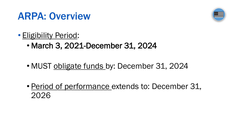### ARPA: Overview



- Eligibility Period:
	- March 3, 2021-December 31, 2024
	- MUST obligate funds by: December 31, 2024
	- Period of performance extends to: December 31, 2026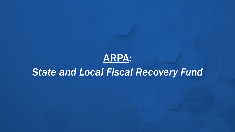#### ARPA:

### *State and Local Fiscal Recovery Fund*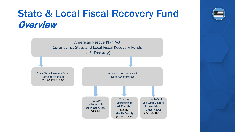### State & Local Fiscal Recovery Fund **Overview**



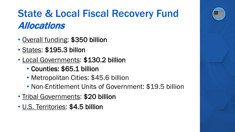# State & Local Fiscal Recovery Fund Allocations

- Overall funding: \$350 billion
- States: \$195.3 billon
- Local Governments: \$130.2 billion
	- Counties: \$65.1 billion
	- Metropolitan Cities: \$45.6 billion
	- Non-Entitlement Units of Government: \$19.5 billion
- Tribal Governments: \$20 billion
- U.S. Territories: \$4.5 billion

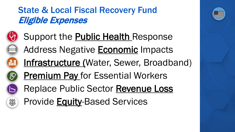### State & Local Fiscal Recovery Fund Eligible Expenses



்<br>இத

Support the **Public Health** Response Address Negative **Economic** Impacts Infrastructure (Water, Sewer, Broadband) **Premium Pay for Essential Workers** Replace Public Sector Revenue Loss Provide Equity-Based Services

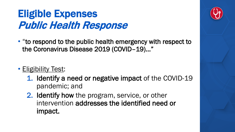# Eligible Expenses Public Health Response

- "to respond to the public health emergency with respect to the Coronavirus Disease 2019 (COVID–19)…"
- Eligibility Test:
	- 1. Identify a need or negative impact of the COVID-19 pandemic; and
	- 2. Identify how the program, service, or other intervention addresses the identified need or impact.

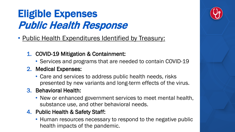# Eligible Expenses Public Health Response

- Public Health Expenditures Identified by Treasury:
	- 1. COVID-19 Mitigation & Containment:
		- Services and programs that are needed to contain COVID-19

#### 2. Medical Expenses:

- Care and services to address public health needs, risks presented by new variants and long-term effects of the virus.
- 3. Behavioral Health:
	- New or enhanced government services to meet mental health, substance use, and other behavioral needs.

#### 4. Public Health & Safety Staff:

• Human resources necessary to respond to the negative public health impacts of the pandemic.

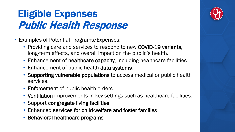# Eligible Expenses Public Health Response

- Examples of Potential Programs/Expenses:
	- Providing care and services to respond to new COVID-19 variants, long-term effects, and overall impact on the public's health.
	- Enhancement of healthcare capacity, including healthcare facilities.
	- Enhancement of public health data systems.
	- Supporting vulnerable populations to access medical or public health services.
	- Enforcement of public health orders.
	- Ventilation improvements in key settings such as healthcare facilities.
	- Support congregate living facilities
	- Enhanced services for child-welfare and foster families
	- Behavioral healthcare programs

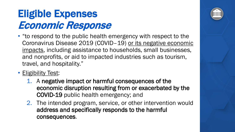# Eligible Expenses Economic Response

- "to respond to the public health emergency with respect to the Coronavirus Disease 2019 (COVID–19) or its negative economic impacts, including assistance to households, small businesses, and nonprofits, or aid to impacted industries such as tourism, travel, and hospitality."
- Eligibility Test:
	- 1. A negative impact or harmful consequences of the economic disruption resulting from or exacerbated by the COVID-19 public health emergency; and
	- 2. The intended program, service, or other intervention would address and specifically responds to the harmful consequences.

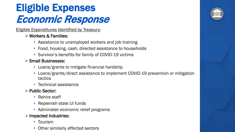# Eligible Expenses Economic Response

Eligible Expenditures Identified by Treasury:

- **► Workers & Families:** 
	- Assistance to unemployed workers and job training
	- Food, housing, cash, directed assistance to households
	- Survivor's benefits for family of COVID-19 victims

#### Small Businesses:

- Loans/grants to mitigate financial hardship
- Loans/grants/direct assistance to implement COVID-19 prevention or mitigation tactics
- Technical assistance

#### $\triangleright$  Public Sector:

- Rehire staff
- Replenish state UI funds
- Administer economic relief programs

#### $\triangleright$  Impacted Industries:

- Tourism
- Other similarly affected sectors

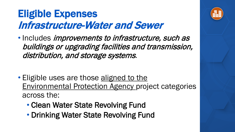## Eligible Expenses Infrastructure-Water and Sewer

• Includes *improvements to infrastructure, such as* buildings or upgrading facilities and transmission, distribution, and storage systems.

- Eligible uses are those aligned to the Environmental Protection Agency project categories across the:
	- Clean Water State Revolving Fund
	- Drinking Water State Revolving Fund

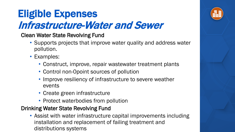# Eligible Expenses Infrastructure-Water and Sewer

- Clean Water State Revolving Fund
	- Supports projects that improve water quality and address water pollution.
	- Examples:
		- Construct, improve, repair wastewater treatment plants
		- Control non-0point sources of pollution
		- Improve resiliency of infrastructure to severe weather events
		- Create green infrastructure
		- Protect waterbodies from pollution

#### Drinking Water State Revolving Fund

• Assist with water infrastructure capital improvements including installation and replacement of failing treatment and distributions systems

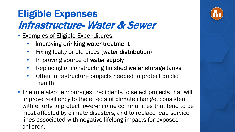# Eligible Expenses Infrastructure- Water & Sewer

- Examples of Eligible Expenditures:
	- Improving drinking water treatment
	- Fixing leaky or old pipes (water distribution)
	- Improving source of water supply
	- Replacing or constructing finished water storage tanks
	- Other infrastructure projects needed to protect public health
- The rule also "encourages" recipients to select projects that will improve resiliency to the effects of climate change, consistent with efforts to protect lower-income communities that tend to be most affected by climate disasters; and to replace lead service lines associated with negative lifelong impacts for exposed children.

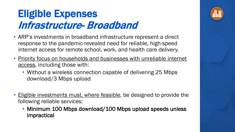## Eligible Expenses Infrastructure- Broadband

- ARP's investments in broadband infrastructure represent a direct response to the pandemic-revealed need for reliable, high-speed internet access for remote school, work, and health care delivery.
- Priority focus on households and businesses with unreliable internet access, including those with:
	- Without a wireless connection capable of delivering 25 Mbps download/3 Mbps upload
- **Eligible investments must, where feasible**, be designed to provide the following reliable services:
	- Minimum 100 Mbps download/100 Mbps upload speeds unless impractical

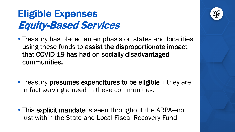# Eligible Expenses Equity-Based Services

- Treasury has placed an emphasis on states and localities using these funds to assist the disproportionate impact that COVID-19 has had on socially disadvantaged communities.
- Treasury presumes expenditures to be eligible if they are in fact serving a need in these communities.
- This explicit mandate is seen throughout the ARPA—not just within the State and Local Fiscal Recovery Fund.

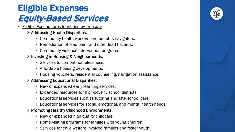### Eligible Expenses Equity-Based Services

- **Eligible Expenditures Identified by Treasury:** 
	- $\triangleright$  Addressing Health Disparities:
		- Community health workers and benefits navigators.
		- Remediation of lead paint and other lead hazards.
		- Community violence intervention programs.

#### $\triangleright$  Investing in Housing & Neighborhoods:

- Services to combat homelessness.
- Affordable housing developments.
- Housing vouchers, residential counseling, navigation assistance.

#### $\triangleright$  Addressing Educational Disparities:

- New or expanded early learning services.
- Expanded resources for high-poverty school districts.
- Educational services such as tutoring and afterschool care.
- Educational services for social, emotional, and mental health needs.

#### $\triangleright$  Promoting Healthy Childhood Environments:

- New or expanded high quality childcare.
- Home visiting programs for families with young children.
- Services for child welfare involved families and foster youth.

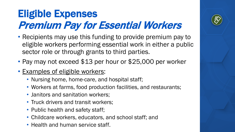# Eligible Expenses Premium Pay for Essential Workers

- Recipients may use this funding to provide premium pay to eligible workers performing essential work in either a public sector role or through grants to third parties.
- Pay may not exceed \$13 per hour or \$25,000 per worker
- Examples of eligible workers:
	- Nursing home, home-care, and hospital staff;
	- Workers at farms, food production facilities, and restaurants;
	- Janitors and sanitation workers;
	- Truck drivers and transit workers;
	- Public health and safety staff;
	- Childcare workers, educators, and school staff; and
	- Health and human service staff.

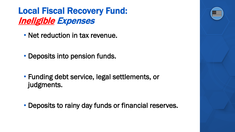#### Local Fiscal Recovery Fund: Ineligible Expenses

- Net reduction in tax revenue.
- Deposits into pension funds.
- Funding debt service, legal settlements, or judgments.
- Deposits to rainy day funds or financial reserves.

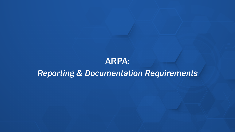#### ARPA:

#### *Reporting & Documentation Requirements*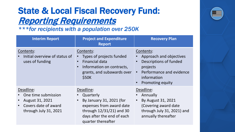### State & Local Fiscal Recovery Fund: Reporting Requirements

*\*\*\*for recipients with a population over 250K*

| <b>Interim Report</b>                                                                                                          | <b>Project and Expenditure</b><br><b>Report</b>                                                                                                                 | <b>Recovery Plan</b>                                                                                                                             |
|--------------------------------------------------------------------------------------------------------------------------------|-----------------------------------------------------------------------------------------------------------------------------------------------------------------|--------------------------------------------------------------------------------------------------------------------------------------------------|
| Contents:<br>Initial overview of status of<br>uses of funding                                                                  | Contents:<br>Types of projects funded<br>Financial data<br>Information on contracts,<br>grants, and subawards over<br>\$50K                                     | Contents:<br>Approach and objectives<br>Descriptions of funded<br>projects<br>Performance and evidence<br>information<br><b>Promoting equity</b> |
| Deadline:<br>One time submission<br>August 31, 2021<br>$\bullet$<br>Covers date of award<br>$\bullet$<br>through July 31, 2021 | Deadline:<br>Quarterly<br>By January 31, 2021 (for<br>expenses from award date<br>through $12/31/21$ and 30<br>days after the end of each<br>quarter thereafter | Deadline:<br>Annually<br>By August 31, 2021<br>(Covering award date<br>through July 31, 2021) and<br>annually thereafter                         |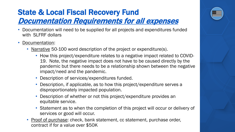#### State & Local Fiscal Recovery Fund Documentation Requirements for all expenses

- Documentation will need to be supplied for all projects and expenditures funded with SLFRF dollars
- Documentation:
	- Narrative 50-100 word description of the project or expenditure(s).
		- How this project/expenditure relates to a negative impact related to COVID-19. Note, the negative impact does not have to be caused directly by the pandemic but there needs to be a relationship shown between the negative impact/need and the pandemic.
		- Description of services/expenditures funded.
		- Description, if applicable, as to how this project/expenditure serves a disproportionately impacted population.
		- Description of whether or not this project/expenditure provides an equitable service.
		- Statement as to when the completion of this project will occur or delivery of services or good will occur.
	- Proof of purchase: check, bank statement, cc statement, purchase order, contract if for a value over \$50K

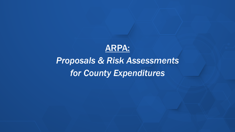

### *Proposals & Risk Assessments for County Expenditures*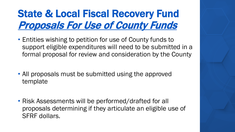# State & Local Fiscal Recovery Fund Proposals For Use of County Funds

- Entities wishing to petition for use of County funds to support eligible expenditures will need to be submitted in a formal proposal for review and consideration by the County
- All proposals must be submitted using the approved template
- Risk Assessments will be performed/drafted for all proposals determining if they articulate an eligible use of SFRF dollars.